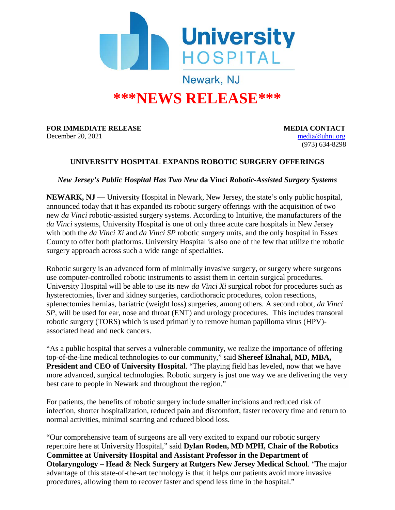

## **\*\*\*NEWS RELEASE\*\*\***

**FOR IMMEDIATE RELEASE MEDIA CONTACT** 

December 20, 2021 [media@uhnj.org](mailto:media@uhnj.org) (973) 634-8298

## **UNIVERSITY HOSPITAL EXPANDS ROBOTIC SURGERY OFFERINGS**

*New Jersey's Public Hospital Has Two New* **da Vinci** *Robotic-Assisted Surgery Systems*

**NEWARK, NJ —** University Hospital in Newark, New Jersey, the state's only public hospital, announced today that it has expanded its robotic surgery offerings with the acquisition of two new *da Vinci* robotic-assisted surgery systems. According to Intuitive, the manufacturers of the *da Vinci* systems, University Hospital is one of only three acute care hospitals in New Jersey with both the *da Vinci Xi* and *da Vinci SP* robotic surgery units, and the only hospital in Essex County to offer both platforms. University Hospital is also one of the few that utilize the robotic surgery approach across such a wide range of specialties.

Robotic surgery is an advanced form of minimally invasive surgery, or surgery where surgeons use computer-controlled robotic instruments to assist them in certain surgical procedures. University Hospital will be able to use its new *da Vinci Xi* surgical robot for procedures such as hysterectomies, liver and kidney surgeries, cardiothoracic procedures, colon resections, splenectomies hernias, bariatric (weight loss) surgeries, among others. A second robot, *da Vinci SP*, will be used for ear, nose and throat (ENT) and urology procedures. This includes transoral robotic surgery (TORS) which is used primarily to remove human papilloma virus (HPV) associated head and neck cancers.

"As a public hospital that serves a vulnerable community, we realize the importance of offering top-of-the-line medical technologies to our community," said **Shereef Elnahal, MD, MBA, President and CEO of University Hospital**. "The playing field has leveled, now that we have more advanced, surgical technologies. Robotic surgery is just one way we are delivering the very best care to people in Newark and throughout the region."

For patients, the benefits of robotic surgery include smaller incisions and reduced risk of infection, shorter hospitalization, reduced pain and discomfort, faster recovery time and return to normal activities, minimal scarring and reduced blood loss.

"Our comprehensive team of surgeons are all very excited to expand our robotic surgery repertoire here at University Hospital," said **Dylan Roden, MD MPH, Chair of the Robotics Committee at University Hospital and Assistant Professor in the Department of Otolaryngology – Head & Neck Surgery at Rutgers New Jersey Medical School**. "The major advantage of this state-of-the-art technology is that it helps our patients avoid more invasive procedures, allowing them to recover faster and spend less time in the hospital."